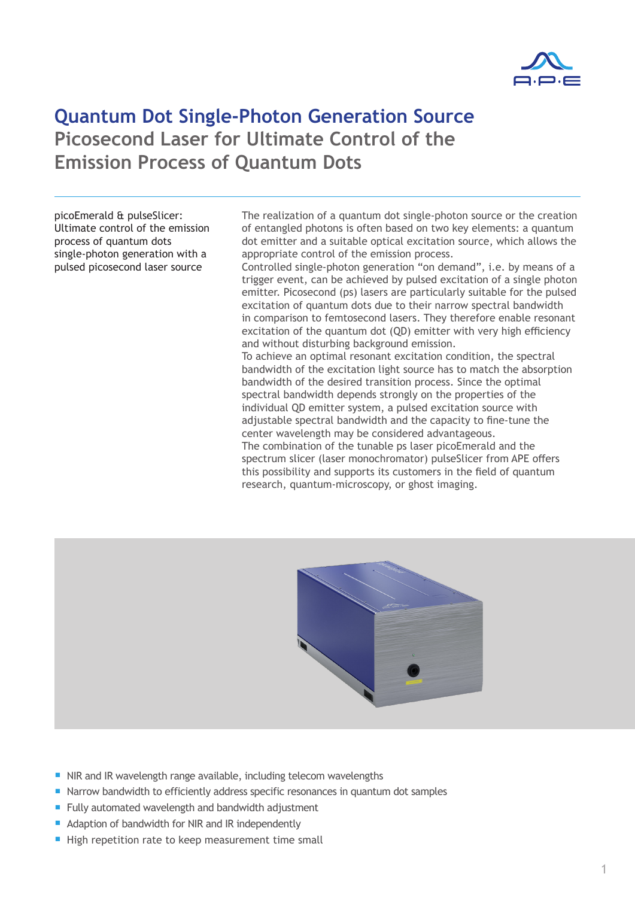

## **Quantum Dot Single-Photon Generation Source Picosecond Laser for Ultimate Control of the Emission Process of Quantum Dots**

picoEmerald & pulseSlicer: Ultimate control of the emission process of quantum dots single-photon generation with a pulsed picosecond laser source

The realization of a quantum dot single-photon source or the creation of entangled photons is often based on two key elements: a quantum dot emitter and a suitable optical excitation source, which allows the appropriate control of the emission process.

Controlled single-photon generation "on demand", i.e. by means of a trigger event, can be achieved by pulsed excitation of a single photon emitter. Picosecond (ps) lasers are particularly suitable for the pulsed excitation of quantum dots due to their narrow spectral bandwidth in comparison to femtosecond lasers. They therefore enable resonant excitation of the quantum dot (QD) emitter with very high efficiency and without disturbing background emission.

To achieve an optimal resonant excitation condition, the spectral bandwidth of the excitation light source has to match the absorption bandwidth of the desired transition process. Since the optimal spectral bandwidth depends strongly on the properties of the individual QD emitter system, a pulsed excitation source with adjustable spectral bandwidth and the capacity to fine-tune the center wavelength may be considered advantageous. The combination of the tunable ps laser picoEmerald and the

spectrum slicer (laser monochromator) pulseSlicer from APE offers this possibility and supports its customers in the field of quantum research, quantum-microscopy, or ghost imaging.



- NIR and IR wavelength range available, including telecom wavelengths
- Narrow bandwidth to efficiently address specific resonances in quantum dot samples
- Fully automated wavelength and bandwidth adjustment
- Adaption of bandwidth for NIR and IR independently
- High repetition rate to keep measurement time small